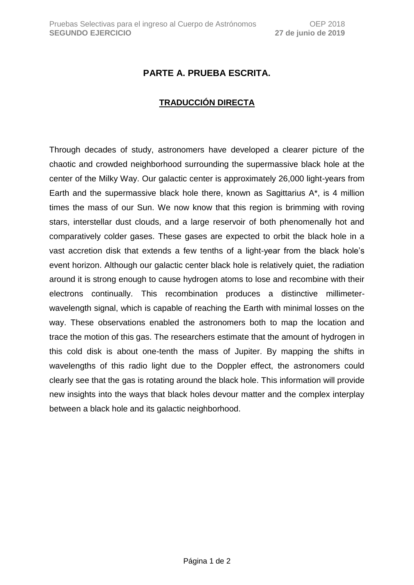## **PARTE A. PRUEBA ESCRITA.**

## **TRADUCCIÓN DIRECTA**

Through decades of study, astronomers have developed a clearer picture of the chaotic and crowded neighborhood surrounding the supermassive black hole at the center of the Milky Way. Our galactic center is approximately 26,000 light-years from Earth and the supermassive black hole there, known as Sagittarius A\*, is 4 million times the mass of our Sun. We now know that this region is brimming with roving stars, interstellar dust clouds, and a large reservoir of both phenomenally hot and comparatively colder gases. These gases are expected to orbit the black hole in a vast accretion disk that extends a few tenths of a light-year from the black hole's event horizon. Although our galactic center black hole is relatively quiet, the radiation around it is strong enough to cause hydrogen atoms to lose and recombine with their electrons continually. This recombination produces a distinctive millimeterwavelength signal, which is capable of reaching the Earth with minimal losses on the way. These observations enabled the astronomers both to map the location and trace the motion of this gas. The researchers estimate that the amount of hydrogen in this cold disk is about one-tenth the mass of Jupiter. By mapping the shifts in wavelengths of this radio light due to the Doppler effect, the astronomers could clearly see that the gas is rotating around the black hole. This information will provide new insights into the ways that black holes devour matter and the complex interplay between a black hole and its galactic neighborhood.